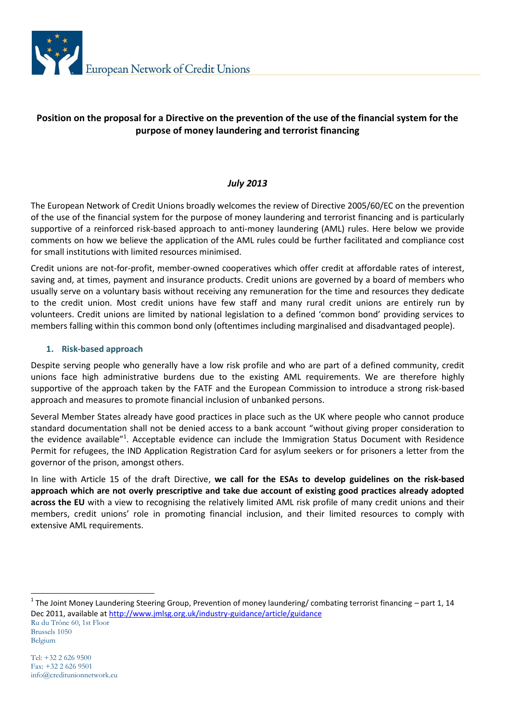

# **Position on the proposal for a Directive on the prevention of the use of the financial system for the purpose of money laundering and terrorist financing**

## *July 2013*

The European Network of Credit Unions broadly welcomes the review of Directive 2005/60/EC on the prevention of the use of the financial system for the purpose of money laundering and terrorist financing and is particularly supportive of a reinforced risk-based approach to anti-money laundering (AML) rules. Here below we provide comments on how we believe the application of the AML rules could be further facilitated and compliance cost for small institutions with limited resources minimised.

Credit unions are not-for-profit, member-owned cooperatives which offer credit at affordable rates of interest, saving and, at times, payment and insurance products. Credit unions are governed by a board of members who usually serve on a voluntary basis without receiving any remuneration for the time and resources they dedicate to the credit union. Most credit unions have few staff and many rural credit unions are entirely run by volunteers. Credit unions are limited by national legislation to a defined 'common bond' providing services to members falling within this common bond only (oftentimes including marginalised and disadvantaged people).

#### **1. Risk-based approach**

Despite serving people who generally have a low risk profile and who are part of a defined community, credit unions face high administrative burdens due to the existing AML requirements. We are therefore highly supportive of the approach taken by the FATF and the European Commission to introduce a strong risk-based approach and measures to promote financial inclusion of unbanked persons.

Several Member States already have good practices in place such as the UK where people who cannot produce standard documentation shall not be denied access to a bank account "without giving proper consideration to the evidence available"<sup>1</sup>. Acceptable evidence can include the Immigration Status Document with Residence Permit for refugees, the IND Application Registration Card for asylum seekers or for prisoners a letter from the governor of the prison, amongst others.

In line with Article 15 of the draft Directive, **we call for the ESAs to develop guidelines on the risk-based approach which are not overly prescriptive and take due account of existing good practices already adopted across the EU** with a view to recognising the relatively limited AML risk profile of many credit unions and their members, credit unions' role in promoting financial inclusion, and their limited resources to comply with extensive AML requirements.

Ru du Trône 60, 1st Floor Brussels 1050 Belgium <sup>1</sup> The Joint Money Laundering Steering Group, Prevention of money laundering/ combating terrorist financing – part 1, 14 Dec 2011, available at<http://www.jmlsg.org.uk/industry-guidance/article/guidance>

-